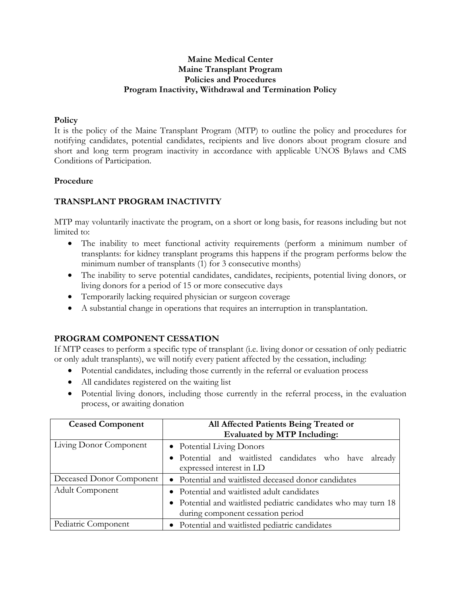## **Maine Medical Center Maine Transplant Program Policies and Procedures Program Inactivity, Withdrawal and Termination Policy**

### **Policy**

It is the policy of the Maine Transplant Program (MTP) to outline the policy and procedures for notifying candidates, potential candidates, recipients and live donors about program closure and short and long term program inactivity in accordance with applicable UNOS Bylaws and CMS Conditions of Participation.

### **Procedure**

# **TRANSPLANT PROGRAM INACTIVITY**

MTP may voluntarily inactivate the program, on a short or long basis, for reasons including but not limited to:

- The inability to meet functional activity requirements (perform a minimum number of transplants: for kidney transplant programs this happens if the program performs below the minimum number of transplants (1) for 3 consecutive months)
- The inability to serve potential candidates, candidates, recipients, potential living donors, or living donors for a period of 15 or more consecutive days
- Temporarily lacking required physician or surgeon coverage
- A substantial change in operations that requires an interruption in transplantation.

## **PROGRAM COMPONENT CESSATION**

If MTP ceases to perform a specific type of transplant (i.e. living donor or cessation of only pediatric or only adult transplants), we will notify every patient affected by the cessation, including:

- Potential candidates, including those currently in the referral or evaluation process
- All candidates registered on the waiting list
- Potential living donors, including those currently in the referral process, in the evaluation process, or awaiting donation

| All Affected Patients Being Treated or                                                               |
|------------------------------------------------------------------------------------------------------|
| <b>Evaluated by MTP Including:</b>                                                                   |
| • Potential Living Donors                                                                            |
| • Potential and waitlisted candidates who have<br>already<br>expressed interest in LD                |
| • Potential and waitlisted deceased donor candidates                                                 |
| • Potential and waitlisted adult candidates                                                          |
| • Potential and waitlisted pediatric candidates who may turn 18<br>during component cessation period |
| • Potential and waitlisted pediatric candidates                                                      |
|                                                                                                      |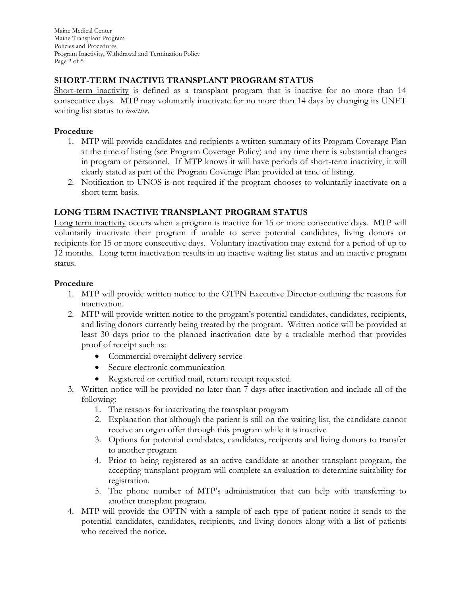Maine Medical Center Maine Transplant Program Policies and Procedures Program Inactivity, Withdrawal and Termination Policy Page 2 of 5

# **SHORT-TERM INACTIVE TRANSPLANT PROGRAM STATUS**

Short-term inactivity is defined as a transplant program that is inactive for no more than 14 consecutive days. MTP may voluntarily inactivate for no more than 14 days by changing its UNET waiting list status to *inactive.*

### **Procedure**

- 1. MTP will provide candidates and recipients a written summary of its Program Coverage Plan at the time of listing (see Program Coverage Policy) and any time there is substantial changes in program or personnel. If MTP knows it will have periods of short-term inactivity, it will clearly stated as part of the Program Coverage Plan provided at time of listing.
- 2. Notification to UNOS is not required if the program chooses to voluntarily inactivate on a short term basis.

# **LONG TERM INACTIVE TRANSPLANT PROGRAM STATUS**

Long term inactivity occurs when a program is inactive for 15 or more consecutive days. MTP will voluntarily inactivate their program if unable to serve potential candidates, living donors or recipients for 15 or more consecutive days. Voluntary inactivation may extend for a period of up to 12 months. Long term inactivation results in an inactive waiting list status and an inactive program status.

### **Procedure**

- 1. MTP will provide written notice to the OTPN Executive Director outlining the reasons for inactivation.
- 2. MTP will provide written notice to the program's potential candidates, candidates, recipients, and living donors currently being treated by the program. Written notice will be provided at least 30 days prior to the planned inactivation date by a trackable method that provides proof of receipt such as:
	- Commercial overnight delivery service
	- Secure electronic communication
	- Registered or certified mail, return receipt requested.
- 3. Written notice will be provided no later than 7 days after inactivation and include all of the following:
	- 1. The reasons for inactivating the transplant program
	- 2. Explanation that although the patient is still on the waiting list, the candidate cannot receive an organ offer through this program while it is inactive
	- 3. Options for potential candidates, candidates, recipients and living donors to transfer to another program
	- 4. Prior to being registered as an active candidate at another transplant program, the accepting transplant program will complete an evaluation to determine suitability for registration.
	- 5. The phone number of MTP's administration that can help with transferring to another transplant program.
- 4. MTP will provide the OPTN with a sample of each type of patient notice it sends to the potential candidates, candidates, recipients, and living donors along with a list of patients who received the notice.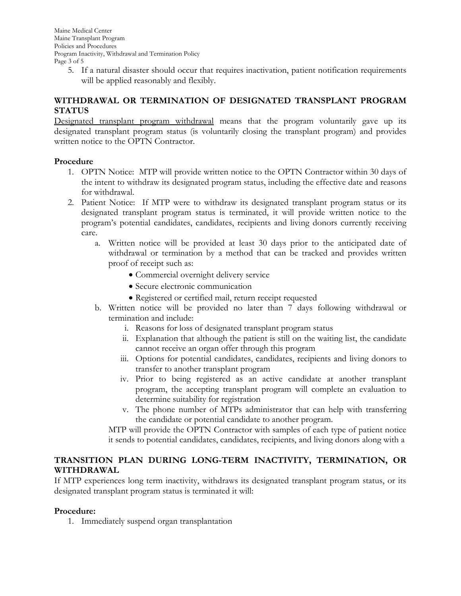Maine Medical Center Maine Transplant Program Policies and Procedures Program Inactivity, Withdrawal and Termination Policy Page 3 of 5

5. If a natural disaster should occur that requires inactivation, patient notification requirements will be applied reasonably and flexibly.

# **WITHDRAWAL OR TERMINATION OF DESIGNATED TRANSPLANT PROGRAM STATUS**

Designated transplant program withdrawal means that the program voluntarily gave up its designated transplant program status (is voluntarily closing the transplant program) and provides written notice to the OPTN Contractor.

## **Procedure**

- 1. OPTN Notice: MTP will provide written notice to the OPTN Contractor within 30 days of the intent to withdraw its designated program status, including the effective date and reasons for withdrawal.
- 2. Patient Notice: If MTP were to withdraw its designated transplant program status or its designated transplant program status is terminated, it will provide written notice to the program's potential candidates, candidates, recipients and living donors currently receiving care.
	- a. Written notice will be provided at least 30 days prior to the anticipated date of withdrawal or termination by a method that can be tracked and provides written proof of receipt such as:
		- Commercial overnight delivery service
		- Secure electronic communication
		- Registered or certified mail, return receipt requested
	- b. Written notice will be provided no later than 7 days following withdrawal or termination and include:
		- i. Reasons for loss of designated transplant program status
		- ii. Explanation that although the patient is still on the waiting list, the candidate cannot receive an organ offer through this program
		- iii. Options for potential candidates, candidates, recipients and living donors to transfer to another transplant program
		- iv. Prior to being registered as an active candidate at another transplant program, the accepting transplant program will complete an evaluation to determine suitability for registration
		- v. The phone number of MTPs administrator that can help with transferring the candidate or potential candidate to another program.

MTP will provide the OPTN Contractor with samples of each type of patient notice it sends to potential candidates, candidates, recipients, and living donors along with a

## **TRANSITION PLAN DURING LONG-TERM INACTIVITY, TERMINATION, OR WITHDRAWAL**

If MTP experiences long term inactivity, withdraws its designated transplant program status, or its designated transplant program status is terminated it will:

## **Procedure:**

1. Immediately suspend organ transplantation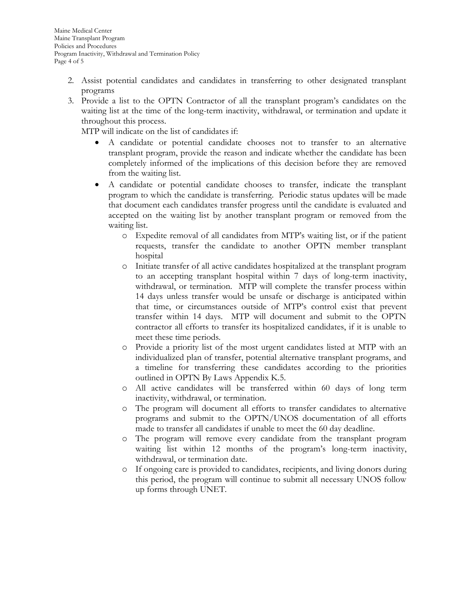- 2. Assist potential candidates and candidates in transferring to other designated transplant programs
- 3. Provide a list to the OPTN Contractor of all the transplant program's candidates on the waiting list at the time of the long-term inactivity, withdrawal, or termination and update it throughout this process.

MTP will indicate on the list of candidates if:

- A candidate or potential candidate chooses not to transfer to an alternative transplant program, provide the reason and indicate whether the candidate has been completely informed of the implications of this decision before they are removed from the waiting list.
- A candidate or potential candidate chooses to transfer, indicate the transplant program to which the candidate is transferring. Periodic status updates will be made that document each candidates transfer progress until the candidate is evaluated and accepted on the waiting list by another transplant program or removed from the waiting list.
	- o Expedite removal of all candidates from MTP's waiting list, or if the patient requests, transfer the candidate to another OPTN member transplant hospital
	- o Initiate transfer of all active candidates hospitalized at the transplant program to an accepting transplant hospital within 7 days of long-term inactivity, withdrawal, or termination. MTP will complete the transfer process within 14 days unless transfer would be unsafe or discharge is anticipated within that time, or circumstances outside of MTP's control exist that prevent transfer within 14 days. MTP will document and submit to the OPTN contractor all efforts to transfer its hospitalized candidates, if it is unable to meet these time periods.
	- Provide a priority list of the most urgent candidates listed at MTP with an individualized plan of transfer, potential alternative transplant programs, and a timeline for transferring these candidates according to the priorities outlined in OPTN By Laws Appendix K.5.
	- o All active candidates will be transferred within 60 days of long term inactivity, withdrawal, or termination.
	- o The program will document all efforts to transfer candidates to alternative programs and submit to the OPTN/UNOS documentation of all efforts made to transfer all candidates if unable to meet the 60 day deadline.
	- o The program will remove every candidate from the transplant program waiting list within 12 months of the program's long-term inactivity, withdrawal, or termination date.
	- o If ongoing care is provided to candidates, recipients, and living donors during this period, the program will continue to submit all necessary UNOS follow up forms through UNET.